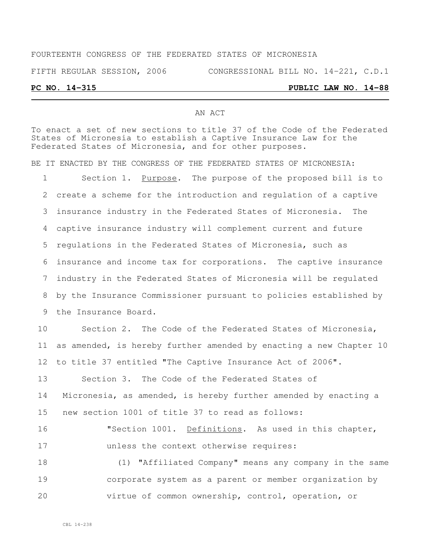# FOURTEENTH CONGRESS OF THE FEDERATED STATES OF MICRONESIA FIFTH REGULAR SESSION, 2006 CONGRESSIONAL BILL NO. 14-221, C.D.1 **PC NO. 14-315 PUBLIC LAW NO. 14-88**

#### AN ACT

To enact a set of new sections to title 37 of the Code of the Federated States of Micronesia to establish a Captive Insurance Law for the Federated States of Micronesia, and for other purposes.

BE IT ENACTED BY THE CONGRESS OF THE FEDERATED STATES OF MICRONESIA:

1 Section 1. Purpose. The purpose of the proposed bill is to create a scheme for the introduction and regulation of a captive insurance industry in the Federated States of Micronesia. The captive insurance industry will complement current and future regulations in the Federated States of Micronesia, such as insurance and income tax for corporations. The captive insurance industry in the Federated States of Micronesia will be regulated by the Insurance Commissioner pursuant to policies established by the Insurance Board.

 Section 2. The Code of the Federated States of Micronesia, as amended, is hereby further amended by enacting a new Chapter 10 to title 37 entitled "The Captive Insurance Act of 2006".

 Section 3. The Code of the Federated States of Micronesia, as amended, is hereby further amended by enacting a new section 1001 of title 37 to read as follows:

16 "Section 1001. Definitions. As used in this chapter, unless the context otherwise requires:

 (1) "Affiliated Company" means any company in the same corporate system as a parent or member organization by virtue of common ownership, control, operation, or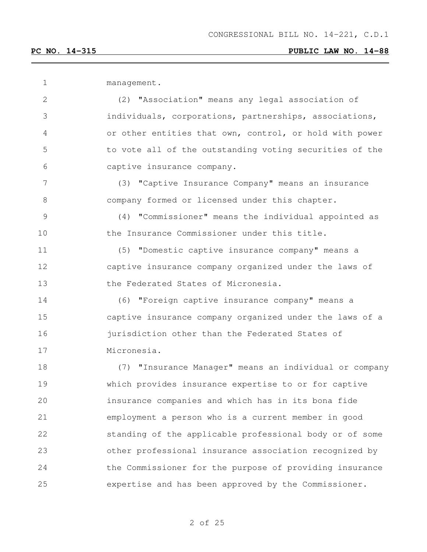| management. |
|-------------|
|             |

 (2) "Association" means any legal association of individuals, corporations, partnerships, associations, or other entities that own, control, or hold with power to vote all of the outstanding voting securities of the captive insurance company.

 (3) "Captive Insurance Company" means an insurance company formed or licensed under this chapter.

 (4) "Commissioner" means the individual appointed as the Insurance Commissioner under this title.

 (5) "Domestic captive insurance company" means a captive insurance company organized under the laws of the Federated States of Micronesia.

 (6) "Foreign captive insurance company" means a captive insurance company organized under the laws of a jurisdiction other than the Federated States of Micronesia.

 (7) "Insurance Manager" means an individual or company which provides insurance expertise to or for captive insurance companies and which has in its bona fide employment a person who is a current member in good standing of the applicable professional body or of some other professional insurance association recognized by the Commissioner for the purpose of providing insurance expertise and has been approved by the Commissioner.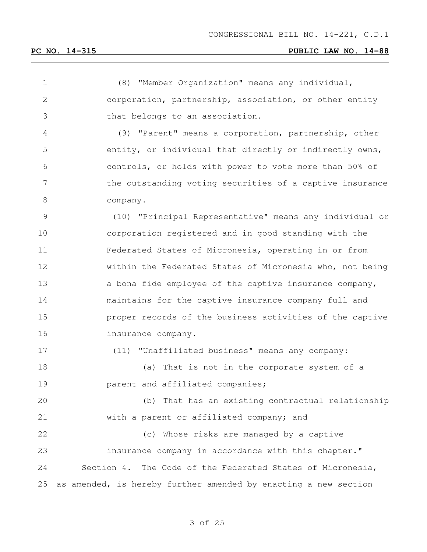(8) "Member Organization" means any individual, corporation, partnership, association, or other entity that belongs to an association. (9) "Parent" means a corporation, partnership, other entity, or individual that directly or indirectly owns, controls, or holds with power to vote more than 50% of the outstanding voting securities of a captive insurance company. (10) "Principal Representative" means any individual or corporation registered and in good standing with the Federated States of Micronesia, operating in or from within the Federated States of Micronesia who, not being 13 a bona fide employee of the captive insurance company, maintains for the captive insurance company full and proper records of the business activities of the captive insurance company. (11) "Unaffiliated business" means any company: (a) That is not in the corporate system of a parent and affiliated companies; (b) That has an existing contractual relationship with a parent or affiliated company; and (c) Whose risks are managed by a captive insurance company in accordance with this chapter." Section 4. The Code of the Federated States of Micronesia, as amended, is hereby further amended by enacting a new section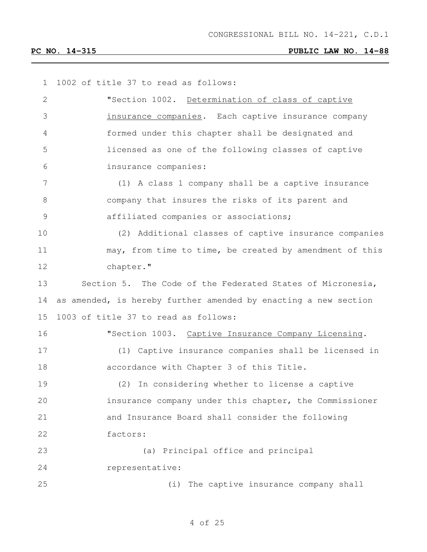1002 of title 37 to read as follows:

| 2             | "Section 1002. Determination of class of captive                |
|---------------|-----------------------------------------------------------------|
| 3             | insurance companies. Each captive insurance company             |
| 4             | formed under this chapter shall be designated and               |
| 5             | licensed as one of the following classes of captive             |
| 6             | insurance companies:                                            |
| 7             | (1) A class 1 company shall be a captive insurance              |
| 8             | company that insures the risks of its parent and                |
| $\mathcal{G}$ | affiliated companies or associations;                           |
| 10            | (2) Additional classes of captive insurance companies           |
| 11            | may, from time to time, be created by amendment of this         |
| 12            | chapter."                                                       |
| 13            | Section 5. The Code of the Federated States of Micronesia,      |
| 14            | as amended, is hereby further amended by enacting a new section |
| 15            | 1003 of title 37 to read as follows:                            |
| 16            | "Section 1003. Captive Insurance Company Licensing.             |
| 17            | (1) Captive insurance companies shall be licensed in            |
| 18            | accordance with Chapter 3 of this Title.                        |
| 19            | (2) In considering whether to license a captive                 |
| 20            | insurance company under this chapter, the Commissioner          |
| 21            | and Insurance Board shall consider the following                |
| 22            | factors:                                                        |
| 23            | (a) Principal office and principal                              |
| 24            | representative:                                                 |
| 25            | The captive insurance company shall<br>(i)                      |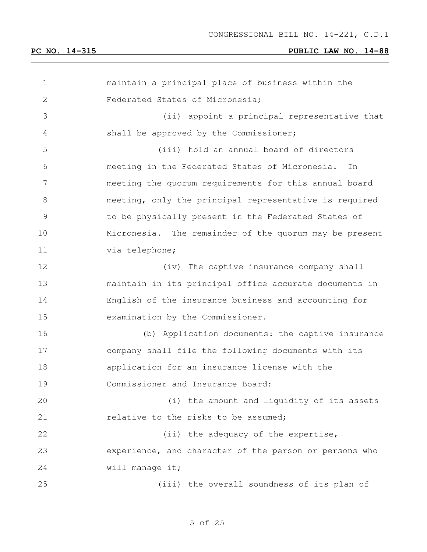| $\mathbf 1$   | maintain a principal place of business within the      |
|---------------|--------------------------------------------------------|
| $\mathbf{2}$  | Federated States of Micronesia;                        |
| 3             | (ii) appoint a principal representative that           |
| 4             | shall be approved by the Commissioner;                 |
| 5             | (iii) hold an annual board of directors                |
| 6             | meeting in the Federated States of Micronesia.<br>In   |
| 7             | meeting the quorum requirements for this annual board  |
| $\,8\,$       | meeting, only the principal representative is required |
| $\mathcal{G}$ | to be physically present in the Federated States of    |
| 10            | Micronesia. The remainder of the quorum may be present |
| 11            | via telephone;                                         |
| 12            | (iv) The captive insurance company shall               |
| 13            | maintain in its principal office accurate documents in |
| 14            | English of the insurance business and accounting for   |
| 15            | examination by the Commissioner.                       |
| 16            | (b) Application documents: the captive insurance       |
| 17            | company shall file the following documents with its    |
| 18            | application for an insurance license with the          |
| 19            | Commissioner and Insurance Board:                      |
| 20            | (i) the amount and liquidity of its assets             |
| 21            | relative to the risks to be assumed;                   |
| 22            | (ii) the adequacy of the expertise,                    |
| 23            | experience, and character of the person or persons who |
| 24            | will manage it;                                        |
| 25            | (iii) the overall soundness of its plan of             |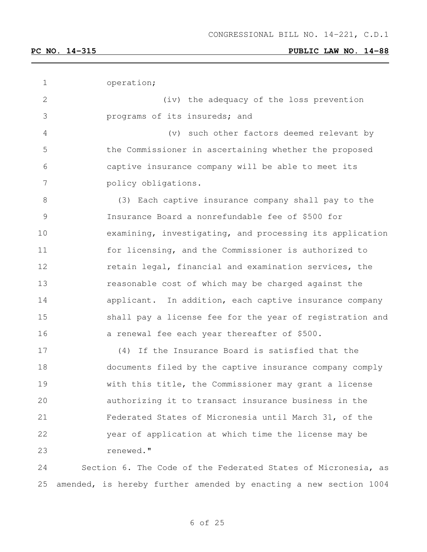| $\mathbf 1$  | operation;                                                    |
|--------------|---------------------------------------------------------------|
| $\mathbf{2}$ | (iv) the adequacy of the loss prevention                      |
| 3            | programs of its insureds; and                                 |
| 4            | (v) such other factors deemed relevant by                     |
| 5            | the Commissioner in ascertaining whether the proposed         |
| 6            | captive insurance company will be able to meet its            |
| 7            | policy obligations.                                           |
| $8\,$        | (3) Each captive insurance company shall pay to the           |
| $\mathsf 9$  | Insurance Board a nonrefundable fee of \$500 for              |
| 10           | examining, investigating, and processing its application      |
| 11           | for licensing, and the Commissioner is authorized to          |
| 12           | retain legal, financial and examination services, the         |
| 13           | reasonable cost of which may be charged against the           |
| 14           | applicant. In addition, each captive insurance company        |
| 15           | shall pay a license fee for the year of registration and      |
| 16           | a renewal fee each year thereafter of \$500.                  |
| 17           | (4) If the Insurance Board is satisfied that the              |
| 18           | documents filed by the captive insurance company comply       |
| 19           | with this title, the Commissioner may grant a license         |
| 20           | authorizing it to transact insurance business in the          |
| 21           | Federated States of Micronesia until March 31, of the         |
| 22           | year of application at which time the license may be          |
| 23           | renewed."                                                     |
| 24           | Section 6. The Code of the Federated States of Micronesia, as |

amended, is hereby further amended by enacting a new section 1004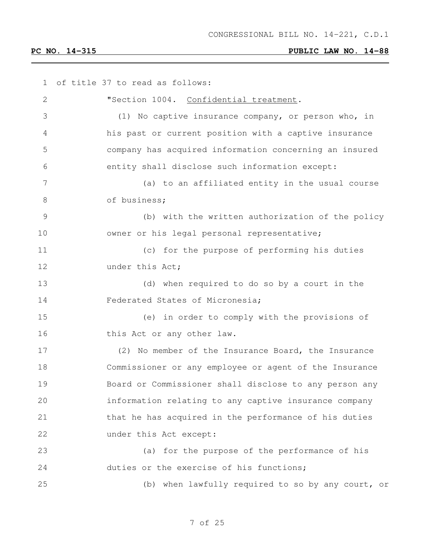| 1              | of title 37 to read as follows:                        |
|----------------|--------------------------------------------------------|
| $\mathbf{2}$   | "Section 1004. Confidential treatment.                 |
| 3              | (1) No captive insurance company, or person who, in    |
| 4              | his past or current position with a captive insurance  |
| 5              | company has acquired information concerning an insured |
| 6              | entity shall disclose such information except:         |
| 7              | (a) to an affiliated entity in the usual course        |
| 8              | of business;                                           |
| $\overline{9}$ | (b) with the written authorization of the policy       |
| 10             | owner or his legal personal representative;            |
| 11             | (c) for the purpose of performing his duties           |
| 12             | under this Act;                                        |
| 13             | (d) when required to do so by a court in the           |
| 14             | Federated States of Micronesia;                        |
| 15             | (e) in order to comply with the provisions of          |
| 16             | this Act or any other law.                             |
| 17             | (2) No member of the Insurance Board, the Insurance    |
| 18             | Commissioner or any employee or agent of the Insurance |
| 19             | Board or Commissioner shall disclose to any person any |
| 20             | information relating to any captive insurance company  |
| 21             | that he has acquired in the performance of his duties  |
| 22             | under this Act except:                                 |
| 23             | (a) for the purpose of the performance of his          |
| 24             | duties or the exercise of his functions;               |
| 25             | (b) when lawfully required to so by any court, or      |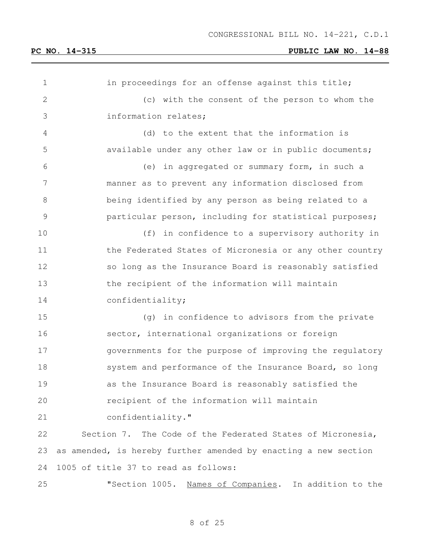| $\mathbf 1$    | in proceedings for an offense against this title;               |
|----------------|-----------------------------------------------------------------|
| 2              | (c) with the consent of the person to whom the                  |
| 3              | information relates;                                            |
| 4              | (d) to the extent that the information is                       |
| 5              | available under any other law or in public documents;           |
| 6              | (e) in aggregated or summary form, in such a                    |
| $7\phantom{.}$ | manner as to prevent any information disclosed from             |
| $8\,$          | being identified by any person as being related to a            |
| 9              | particular person, including for statistical purposes;          |
| 10             | (f) in confidence to a supervisory authority in                 |
| 11             | the Federated States of Micronesia or any other country         |
| 12             | so long as the Insurance Board is reasonably satisfied          |
| 13             | the recipient of the information will maintain                  |
| 14             | confidentiality;                                                |
| 15             | (g) in confidence to advisors from the private                  |
| 16             | sector, international organizations or foreign                  |
| 17             | governments for the purpose of improving the regulatory         |
| 18             | system and performance of the Insurance Board, so long          |
| 19             | as the Insurance Board is reasonably satisfied the              |
| 20             | recipient of the information will maintain                      |
| 21             | confidentiality."                                               |
| 22             | Section 7. The Code of the Federated States of Micronesia,      |
| 23             | as amended, is hereby further amended by enacting a new section |
| 24             | 1005 of title 37 to read as follows:                            |
| 25             | "Section 1005. Names of Companies. In addition to the           |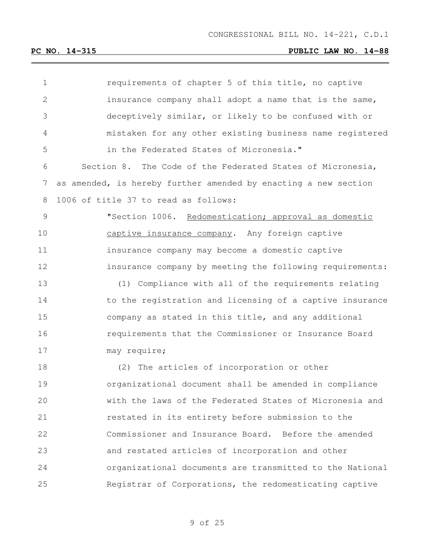| 1               | requirements of chapter 5 of this title, no captive             |
|-----------------|-----------------------------------------------------------------|
| $\mathbf{2}$    | insurance company shall adopt a name that is the same,          |
| 3               | deceptively similar, or likely to be confused with or           |
| 4               | mistaken for any other existing business name registered        |
| 5               | in the Federated States of Micronesia."                         |
| 6               | Section 8. The Code of the Federated States of Micronesia,      |
| $7\phantom{.0}$ | as amended, is hereby further amended by enacting a new section |
| 8               | 1006 of title 37 to read as follows:                            |
| $\mathcal{G}$   | "Section 1006. Redomestication; approval as domestic            |
| 10              | captive insurance company. Any foreign captive                  |
| 11              | insurance company may become a domestic captive                 |
| 12              | insurance company by meeting the following requirements:        |
| 13              | (1) Compliance with all of the requirements relating            |
| 14              | to the registration and licensing of a captive insurance        |
| 15              | company as stated in this title, and any additional             |
| 16              | requirements that the Commissioner or Insurance Board           |
| 17              | may require;                                                    |
| 18              | (2) The articles of incorporation or other                      |
| 19              | organizational document shall be amended in compliance          |
| 20              | with the laws of the Federated States of Micronesia and         |
| 21              | restated in its entirety before submission to the               |
| 22              | Commissioner and Insurance Board. Before the amended            |
| 23              | and restated articles of incorporation and other                |
| 24              | organizational documents are transmitted to the National        |
| 25              | Registrar of Corporations, the redomesticating captive          |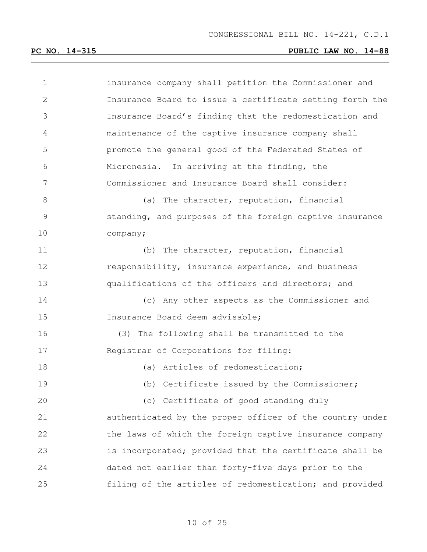| 1              | insurance company shall petition the Commissioner and    |
|----------------|----------------------------------------------------------|
| $\overline{2}$ | Insurance Board to issue a certificate setting forth the |
| 3              | Insurance Board's finding that the redomestication and   |
| 4              | maintenance of the captive insurance company shall       |
| 5              | promote the general good of the Federated States of      |
| 6              | Micronesia. In arriving at the finding, the              |
| 7              | Commissioner and Insurance Board shall consider:         |
| 8              | (a) The character, reputation, financial                 |
| 9              | standing, and purposes of the foreign captive insurance  |
| 10             | company;                                                 |
| 11             | The character, reputation, financial<br>(b)              |
| 12             | responsibility, insurance experience, and business       |
| 13             | qualifications of the officers and directors; and        |
| 14             | (c) Any other aspects as the Commissioner and            |
| 15             | Insurance Board deem advisable;                          |
| 16             | (3) The following shall be transmitted to the            |
| 17             | Registrar of Corporations for filing:                    |
| 18             | (a) Articles of redomestication;                         |
| 19             | (b) Certificate issued by the Commissioner;              |
| 20             | (c) Certificate of good standing duly                    |
| 21             | authenticated by the proper officer of the country under |
| 22             | the laws of which the foreign captive insurance company  |
| 23             | is incorporated; provided that the certificate shall be  |
| 24             | dated not earlier than forty-five days prior to the      |
| 25             | filing of the articles of redomestication; and provided  |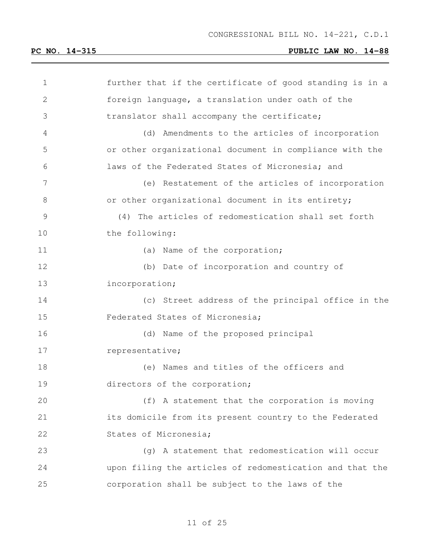| 1             | further that if the certificate of good standing is in a |
|---------------|----------------------------------------------------------|
| $\sqrt{2}$    | foreign language, a translation under oath of the        |
| 3             | translator shall accompany the certificate;              |
| 4             | Amendments to the articles of incorporation<br>(d)       |
| 5             | or other organizational document in compliance with the  |
| 6             | laws of the Federated States of Micronesia; and          |
| 7             | (e) Restatement of the articles of incorporation         |
| 8             | or other organizational document in its entirety;        |
| $\mathcal{G}$ | The articles of redomestication shall set forth<br>(4)   |
| 10            | the following:                                           |
| 11            | (a) Name of the corporation;                             |
| 12            | (b) Date of incorporation and country of                 |
| 13            | incorporation;                                           |
| 14            | (c) Street address of the principal office in the        |
| 15            | Federated States of Micronesia;                          |
| 16            | (d) Name of the proposed principal                       |
| 17            | representative;                                          |
| 18            | (e) Names and titles of the officers and                 |
| 19            | directors of the corporation;                            |
| 20            | (f) A statement that the corporation is moving           |
| 21            | its domicile from its present country to the Federated   |
| 22            | States of Micronesia;                                    |
| 23            | (g) A statement that redomestication will occur          |
| 24            | upon filing the articles of redomestication and that the |
| 25            | corporation shall be subject to the laws of the          |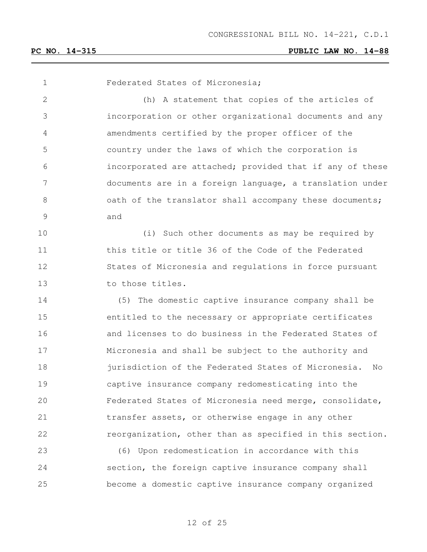Federated States of Micronesia; (h) A statement that copies of the articles of incorporation or other organizational documents and any amendments certified by the proper officer of the country under the laws of which the corporation is incorporated are attached; provided that if any of these documents are in a foreign language, a translation under 8 3 6 0 oath of the translator shall accompany these documents; and (i) Such other documents as may be required by this title or title 36 of the Code of the Federated States of Micronesia and regulations in force pursuant 13 to those titles. (5) The domestic captive insurance company shall be entitled to the necessary or appropriate certificates and licenses to do business in the Federated States of Micronesia and shall be subject to the authority and **jurisdiction of the Federated States of Micronesia.** No captive insurance company redomesticating into the Federated States of Micronesia need merge, consolidate, transfer assets, or otherwise engage in any other reorganization, other than as specified in this section. (6) Upon redomestication in accordance with this section, the foreign captive insurance company shall become a domestic captive insurance company organized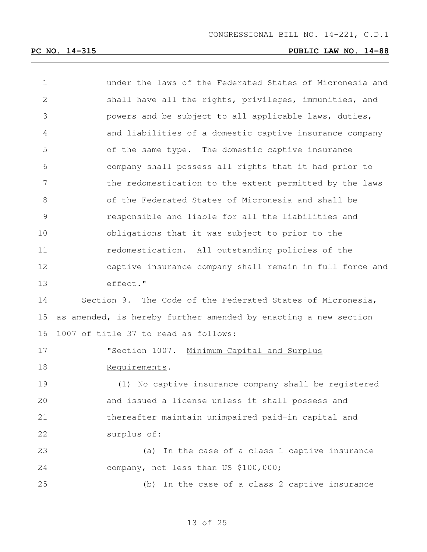| $\mathbf 1$    | under the laws of the Federated States of Micronesia and        |
|----------------|-----------------------------------------------------------------|
| $\mathbf{2}$   | shall have all the rights, privileges, immunities, and          |
| 3              | powers and be subject to all applicable laws, duties,           |
| 4              | and liabilities of a domestic captive insurance company         |
| 5              | of the same type. The domestic captive insurance                |
| 6              | company shall possess all rights that it had prior to           |
| $7\phantom{.}$ | the redomestication to the extent permitted by the laws         |
| 8              | of the Federated States of Micronesia and shall be              |
| $\mathsf 9$    | responsible and liable for all the liabilities and              |
| 10             | obligations that it was subject to prior to the                 |
| 11             | redomestication. All outstanding policies of the                |
| 12             | captive insurance company shall remain in full force and        |
| 13             | effect."                                                        |
| 14             | Section 9. The Code of the Federated States of Micronesia,      |
| 15             | as amended, is hereby further amended by enacting a new section |
| 16             | 1007 of title 37 to read as follows:                            |
| 17             | "Section 1007. Minimum Capital and Surplus                      |
| 18             | Requirements.                                                   |
| 19             | (1) No captive insurance company shall be registered            |
| 20             | and issued a license unless it shall possess and                |
| 21             | thereafter maintain unimpaired paid-in capital and              |
| 22             | surplus of:                                                     |
| 23             | (a) In the case of a class 1 captive insurance                  |
| 24             | company, not less than US \$100,000;                            |
| 25             | (b) In the case of a class 2 captive insurance                  |
|                |                                                                 |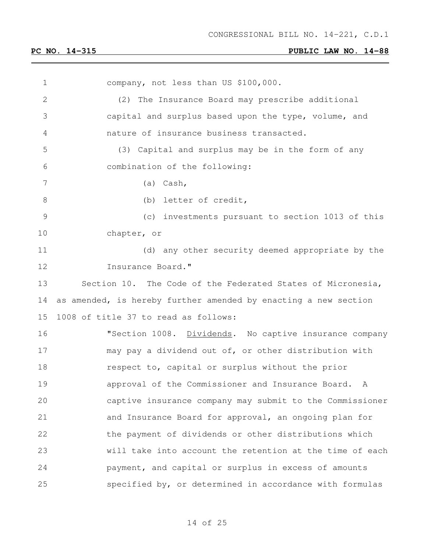company, not less than US \$100,000. (2) The Insurance Board may prescribe additional capital and surplus based upon the type, volume, and nature of insurance business transacted. (3) Capital and surplus may be in the form of any combination of the following: (a) Cash, 8 (b) letter of credit, (c) investments pursuant to section 1013 of this chapter, or (d) any other security deemed appropriate by the **Insurance Board."**  Section 10. The Code of the Federated States of Micronesia, as amended, is hereby further amended by enacting a new section 1008 of title 37 to read as follows: 16 "Section 1008. Dividends. No captive insurance company may pay a dividend out of, or other distribution with respect to, capital or surplus without the prior approval of the Commissioner and Insurance Board. A captive insurance company may submit to the Commissioner and Insurance Board for approval, an ongoing plan for the payment of dividends or other distributions which will take into account the retention at the time of each payment, and capital or surplus in excess of amounts specified by, or determined in accordance with formulas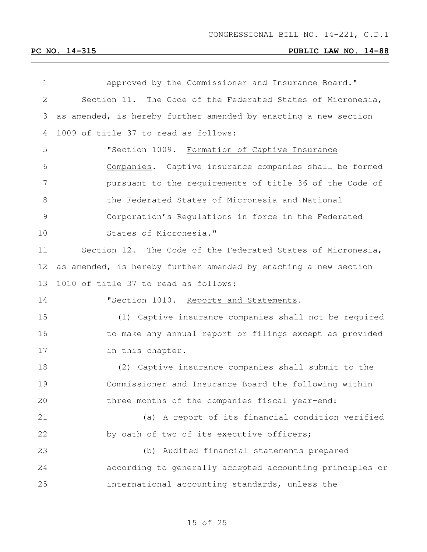| 1             | approved by the Commissioner and Insurance Board."              |
|---------------|-----------------------------------------------------------------|
| $\mathbf{2}$  | Section 11. The Code of the Federated States of Micronesia,     |
| 3             | as amended, is hereby further amended by enacting a new section |
| 4             | 1009 of title 37 to read as follows:                            |
| 5             | "Section 1009. Formation of Captive Insurance                   |
| 6             | Companies. Captive insurance companies shall be formed          |
| 7             | pursuant to the requirements of title 36 of the Code of         |
| 8             | the Federated States of Micronesia and National                 |
| $\mathcal{G}$ | Corporation's Regulations in force in the Federated             |
| 10            | States of Micronesia."                                          |
| 11            | Section 12. The Code of the Federated States of Micronesia,     |
| 12            | as amended, is hereby further amended by enacting a new section |
| 13            | 1010 of title 37 to read as follows:                            |
| 14            | "Section 1010. Reports and Statements.                          |
| 15            | (1) Captive insurance companies shall not be required           |
| 16            | to make any annual report or filings except as provided         |
| 17            | in this chapter.                                                |
| 18            | (2) Captive insurance companies shall submit to the             |
| 19            | Commissioner and Insurance Board the following within           |
| 20            | three months of the companies fiscal year-end:                  |
| 21            | (a) A report of its financial condition verified                |
| 22            | by oath of two of its executive officers;                       |
| 23            | (b) Audited financial statements prepared                       |
| 24            | according to generally accepted accounting principles or        |
| 25            | international accounting standards, unless the                  |
|               |                                                                 |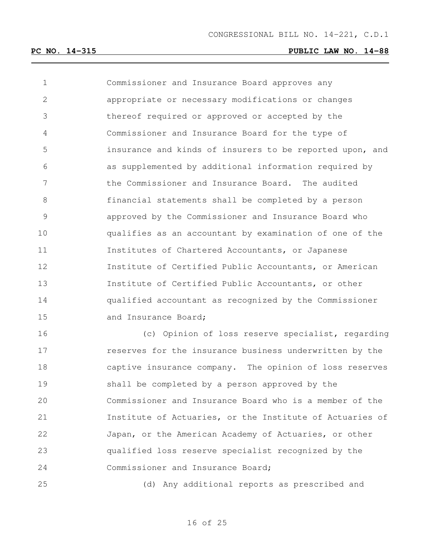Commissioner and Insurance Board approves any appropriate or necessary modifications or changes thereof required or approved or accepted by the Commissioner and Insurance Board for the type of insurance and kinds of insurers to be reported upon, and as supplemented by additional information required by the Commissioner and Insurance Board. The audited financial statements shall be completed by a person approved by the Commissioner and Insurance Board who qualifies as an accountant by examination of one of the Institutes of Chartered Accountants, or Japanese Institute of Certified Public Accountants, or American Institute of Certified Public Accountants, or other qualified accountant as recognized by the Commissioner 15 and Insurance Board:

 (c) Opinion of loss reserve specialist, regarding reserves for the insurance business underwritten by the captive insurance company. The opinion of loss reserves shall be completed by a person approved by the Commissioner and Insurance Board who is a member of the Institute of Actuaries, or the Institute of Actuaries of Japan, or the American Academy of Actuaries, or other qualified loss reserve specialist recognized by the Commissioner and Insurance Board;

(d) Any additional reports as prescribed and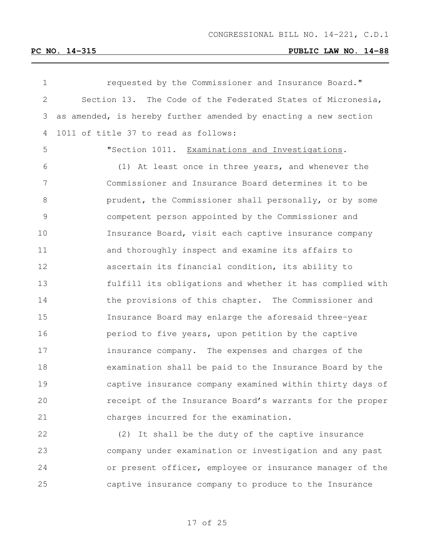| $\mathbf 1$   | requested by the Commissioner and Insurance Board."             |
|---------------|-----------------------------------------------------------------|
| 2             | Section 13. The Code of the Federated States of Micronesia,     |
| 3             | as amended, is hereby further amended by enacting a new section |
| 4             | 1011 of title 37 to read as follows:                            |
| 5             | "Section 1011. Examinations and Investigations.                 |
| 6             | (1) At least once in three years, and whenever the              |
| 7             | Commissioner and Insurance Board determines it to be            |
| 8             | prudent, the Commissioner shall personally, or by some          |
| $\mathcal{G}$ | competent person appointed by the Commissioner and              |
| 10            | Insurance Board, visit each captive insurance company           |
| 11            | and thoroughly inspect and examine its affairs to               |
| 12            | ascertain its financial condition, its ability to               |
| 13            | fulfill its obligations and whether it has complied with        |
| 14            | the provisions of this chapter. The Commissioner and            |
| 15            | Insurance Board may enlarge the aforesaid three-year            |
| 16            | period to five years, upon petition by the captive              |
| 17            | insurance company. The expenses and charges of the              |
| 18            | examination shall be paid to the Insurance Board by the         |
| 19            | captive insurance company examined within thirty days of        |
| 20            | receipt of the Insurance Board's warrants for the proper        |
| 21            | charges incurred for the examination.                           |
| 22            | (2) It shall be the duty of the captive insurance               |
| 23            | company under examination or investigation and any past         |
| 24            | or present officer, employee or insurance manager of the        |

captive insurance company to produce to the Insurance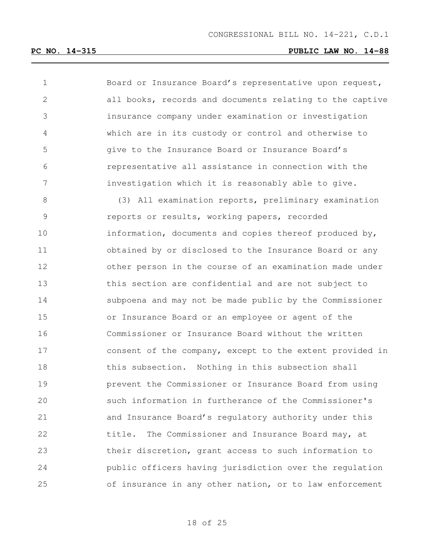| 1             | Board or Insurance Board's representative upon request,  |
|---------------|----------------------------------------------------------|
| $\mathbf{2}$  | all books, records and documents relating to the captive |
| 3             | insurance company under examination or investigation     |
| 4             | which are in its custody or control and otherwise to     |
| 5             | give to the Insurance Board or Insurance Board's         |
| 6             | representative all assistance in connection with the     |
| 7             | investigation which it is reasonably able to give.       |
| 8             | (3) All examination reports, preliminary examination     |
| $\mathcal{G}$ | reports or results, working papers, recorded             |
| 10            | information, documents and copies thereof produced by,   |
| 11            | obtained by or disclosed to the Insurance Board or any   |
| 12            | other person in the course of an examination made under  |
| 13            | this section are confidential and are not subject to     |
| 14            | subpoena and may not be made public by the Commissioner  |
| 15            | or Insurance Board or an employee or agent of the        |
| 16            | Commissioner or Insurance Board without the written      |
| 17            | consent of the company, except to the extent provided in |
| 18            | this subsection. Nothing in this subsection shall        |
| 19            | prevent the Commissioner or Insurance Board from using   |
| 20            | such information in furtherance of the Commissioner's    |
| 21            | and Insurance Board's regulatory authority under this    |
| 22            | The Commissioner and Insurance Board may, at<br>title.   |
| 23            | their discretion, grant access to such information to    |
| 24            | public officers having jurisdiction over the regulation  |
| 25            | of insurance in any other nation, or to law enforcement  |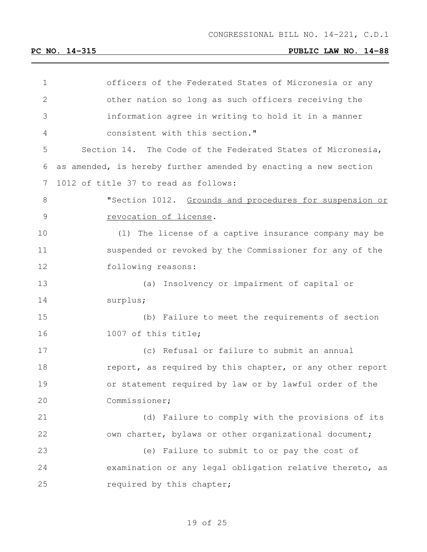| 1  | officers of the Federated States of Micronesia or any           |
|----|-----------------------------------------------------------------|
| 2  | other nation so long as such officers receiving the             |
| 3  | information agree in writing to hold it in a manner             |
| 4  | consistent with this section."                                  |
| 5  | Section 14. The Code of the Federated States of Micronesia,     |
| 6  | as amended, is hereby further amended by enacting a new section |
| 7  | 1012 of title 37 to read as follows:                            |
| 8  | "Section 1012. Grounds and procedures for suspension or         |
| 9  | revocation of license.                                          |
| 10 | (1) The license of a captive insurance company may be           |
| 11 | suspended or revoked by the Commissioner for any of the         |
| 12 | following reasons:                                              |
| 13 | (a) Insolvency or impairment of capital or                      |
| 14 | surplus;                                                        |
| 15 | (b) Failure to meet the requirements of section                 |
| 16 | 1007 of this title;                                             |
| 17 | (c) Refusal or failure to submit an annual                      |
| 18 | report, as required by this chapter, or any other report        |
| 19 | or statement required by law or by lawful order of the          |
| 20 | Commissioner;                                                   |
| 21 | (d) Failure to comply with the provisions of its                |
| 22 | own charter, bylaws or other organizational document;           |
| 23 | (e) Failure to submit to or pay the cost of                     |
| 24 | examination or any legal obligation relative thereto, as        |
| 25 | required by this chapter;                                       |
|    |                                                                 |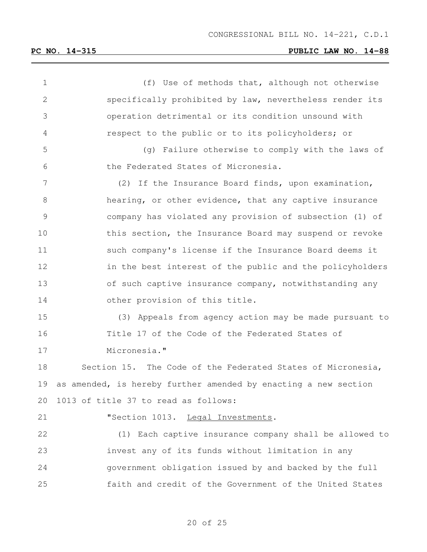(f) Use of methods that, although not otherwise specifically prohibited by law, nevertheless render its operation detrimental or its condition unsound with respect to the public or to its policyholders; or (g) Failure otherwise to comply with the laws of the Federated States of Micronesia. (2) If the Insurance Board finds, upon examination, hearing, or other evidence, that any captive insurance company has violated any provision of subsection (1) of 10 this section, the Insurance Board may suspend or revoke such company's license if the Insurance Board deems it 12 in the best interest of the public and the policyholders of such captive insurance company, notwithstanding any other provision of this title. (3) Appeals from agency action may be made pursuant to Title 17 of the Code of the Federated States of Micronesia." Section 15. The Code of the Federated States of Micronesia, as amended, is hereby further amended by enacting a new section 1013 of title 37 to read as follows: **"Section 1013.** Legal Investments. (1) Each captive insurance company shall be allowed to invest any of its funds without limitation in any government obligation issued by and backed by the full faith and credit of the Government of the United States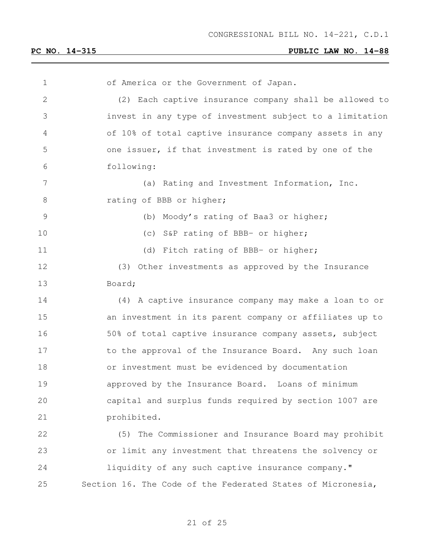| $\mathbf 1$     | of America or the Government of Japan.                      |
|-----------------|-------------------------------------------------------------|
| $\mathbf{2}$    | (2) Each captive insurance company shall be allowed to      |
| 3               | invest in any type of investment subject to a limitation    |
| 4               | of 10% of total captive insurance company assets in any     |
| 5               | one issuer, if that investment is rated by one of the       |
| 6               | following:                                                  |
| $7\phantom{.0}$ | (a) Rating and Investment Information, Inc.                 |
| $8\,$           | rating of BBB or higher;                                    |
| 9               | (b) Moody's rating of Baa3 or higher;                       |
| 10              | (c) S&P rating of BBB- or higher;                           |
| 11              | (d) Fitch rating of BBB- or higher;                         |
| 12              | (3) Other investments as approved by the Insurance          |
| 13              | Board;                                                      |
| 14              | (4) A captive insurance company may make a loan to or       |
| 15              | an investment in its parent company or affiliates up to     |
| 16              | 50% of total captive insurance company assets, subject      |
| 17              | to the approval of the Insurance Board. Any such loan       |
| 18              | or investment must be evidenced by documentation            |
| 19              | approved by the Insurance Board. Loans of minimum           |
| 20              | capital and surplus funds required by section 1007 are      |
| 21              | prohibited.                                                 |
| 22              | The Commissioner and Insurance Board may prohibit<br>(5)    |
| 23              | or limit any investment that threatens the solvency or      |
| 24              | liquidity of any such captive insurance company."           |
| 25              | Section 16. The Code of the Federated States of Micronesia, |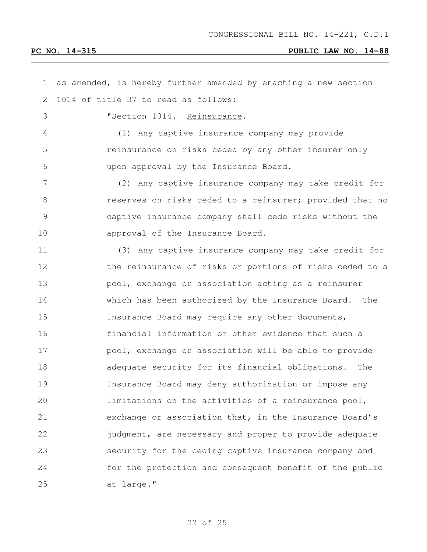| $\mathbf 1$    | as amended, is hereby further amended by enacting a new section |
|----------------|-----------------------------------------------------------------|
| $\mathbf{2}$   | 1014 of title 37 to read as follows:                            |
| $\mathfrak{Z}$ | "Section 1014. Reinsurance.                                     |
| 4              | (1) Any captive insurance company may provide                   |
| 5              | reinsurance on risks ceded by any other insurer only            |
| 6              | upon approval by the Insurance Board.                           |
| $\overline{7}$ | (2) Any captive insurance company may take credit for           |
| $\,8\,$        | reserves on risks ceded to a reinsurer; provided that no        |
| 9              | captive insurance company shall cede risks without the          |
| 10             | approval of the Insurance Board.                                |
| 11             | (3) Any captive insurance company may take credit for           |
| 12             | the reinsurance of risks or portions of risks ceded to a        |
| 13             | pool, exchange or association acting as a reinsurer             |
| 14             | which has been authorized by the Insurance Board. The           |
| 15             | Insurance Board may require any other documents,                |
| 16             | financial information or other evidence that such a             |
| 17             | pool, exchange or association will be able to provide           |
| 18             | adequate security for its financial obligations.<br>The         |
| 19             | Insurance Board may deny authorization or impose any            |
| 20             | limitations on the activities of a reinsurance pool,            |
| 21             | exchange or association that, in the Insurance Board's          |
| 22             | judgment, are necessary and proper to provide adequate          |
| 23             | security for the ceding captive insurance company and           |
| 24             | for the protection and consequent benefit of the public         |
| 25             | at large."                                                      |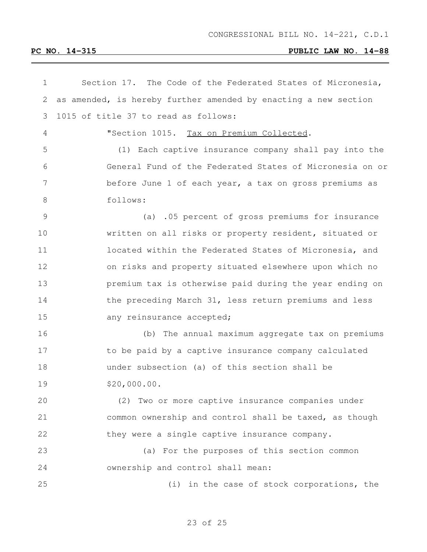| $\mathbf 1$   | Section 17. The Code of the Federated States of Micronesia,     |
|---------------|-----------------------------------------------------------------|
| $\mathbf{2}$  | as amended, is hereby further amended by enacting a new section |
| 3             | 1015 of title 37 to read as follows:                            |
| 4             | "Section 1015. Tax on Premium Collected.                        |
| 5             | (1) Each captive insurance company shall pay into the           |
| 6             | General Fund of the Federated States of Micronesia on or        |
| 7             | before June 1 of each year, a tax on gross premiums as          |
| 8             | follows:                                                        |
| $\mathcal{G}$ | (a) .05 percent of gross premiums for insurance                 |
| 10            | written on all risks or property resident, situated or          |
| 11            | located within the Federated States of Micronesia, and          |
| 12            | on risks and property situated elsewhere upon which no          |
| 13            | premium tax is otherwise paid during the year ending on         |
| 14            | the preceding March 31, less return premiums and less           |
| 15            | any reinsurance accepted;                                       |
| 16            | (b) The annual maximum aggregate tax on premiums                |
| 17            | to be paid by a captive insurance company calculated            |
| 18            | under subsection (a) of this section shall be                   |
| 19            | \$20,000.00.                                                    |
| 20            | (2) Two or more captive insurance companies under               |
| 21            | common ownership and control shall be taxed, as though          |
| 22            | they were a single captive insurance company.                   |
| 23            | (a) For the purposes of this section common                     |
| 24            | ownership and control shall mean:                               |
| 25            | (i) in the case of stock corporations, the                      |
|               |                                                                 |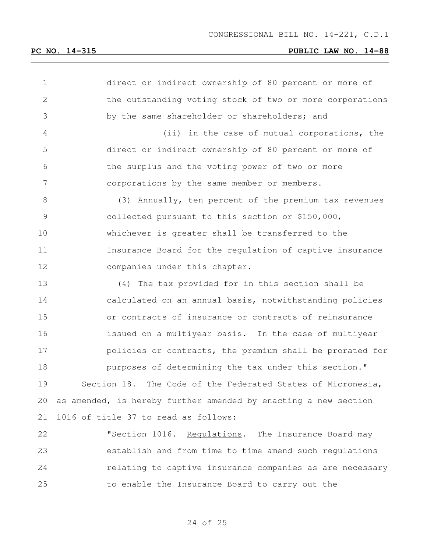| $\mathbf 1$   | direct or indirect ownership of 80 percent or more of           |
|---------------|-----------------------------------------------------------------|
| $\mathbf{2}$  | the outstanding voting stock of two or more corporations        |
| 3             | by the same shareholder or shareholders; and                    |
| 4             | (ii) in the case of mutual corporations, the                    |
| 5             | direct or indirect ownership of 80 percent or more of           |
| 6             | the surplus and the voting power of two or more                 |
| 7             | corporations by the same member or members.                     |
| $\,8\,$       | (3) Annually, ten percent of the premium tax revenues           |
| $\mathcal{G}$ | collected pursuant to this section or \$150,000,                |
| 10            | whichever is greater shall be transferred to the                |
| 11            | Insurance Board for the regulation of captive insurance         |
| 12            | companies under this chapter.                                   |
| 13            | (4) The tax provided for in this section shall be               |
| 14            | calculated on an annual basis, notwithstanding policies         |
| 15            | or contracts of insurance or contracts of reinsurance           |
| 16            | issued on a multiyear basis. In the case of multiyear           |
| 17            | policies or contracts, the premium shall be prorated for        |
| 18            | purposes of determining the tax under this section."            |
| 19            | The Code of the Federated States of Micronesia,<br>Section 18.  |
| 20            | as amended, is hereby further amended by enacting a new section |
| 21            | 1016 of title 37 to read as follows:                            |
| 22            | "Section 1016.<br>Requlations. The Insurance Board may          |
| 23            | establish and from time to time amend such regulations          |
| 24            | relating to captive insurance companies as are necessary        |
| 25            | to enable the Insurance Board to carry out the                  |